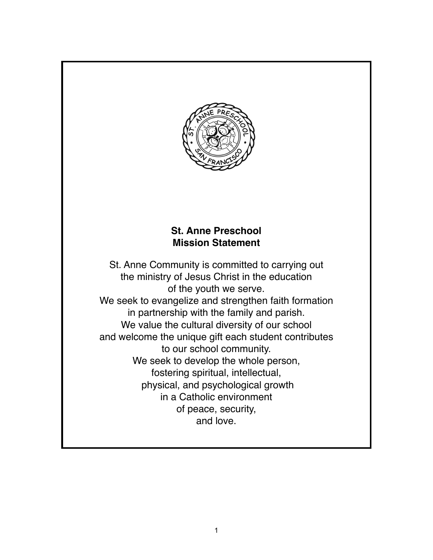

# **St. Anne Preschool Mission Statement**

St. Anne Community is committed to carrying out the ministry of Jesus Christ in the education of the youth we serve. We seek to evangelize and strengthen faith formation in partnership with the family and parish. We value the cultural diversity of our school and welcome the unique gift each student contributes to our school community. We seek to develop the whole person, fostering spiritual, intellectual, physical, and psychological growth in a Catholic environment of peace, security, and love.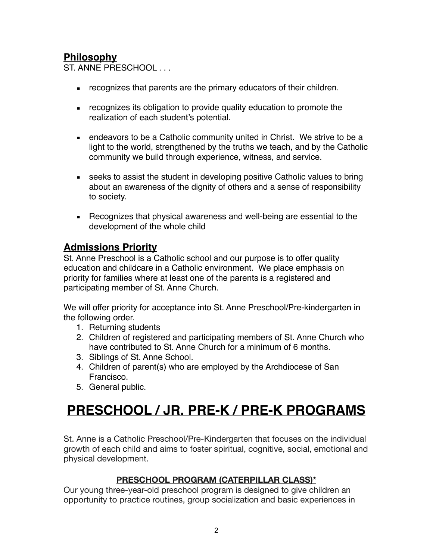# **Philosophy**

ST. ANNE PRESCHOOL . . .

- **EXECO FIGHTS INCO FIGHTS** are the primary educators of their children.
- **EXECOGNOM** recognizes its obligation to provide quality education to promote the realization of each student's potential.
- endeavors to be a Catholic community united in Christ. We strive to be a light to the world, strengthened by the truths we teach, and by the Catholic community we build through experience, witness, and service.
- **EXE** seeks to assist the student in developing positive Catholic values to bring about an awareness of the dignity of others and a sense of responsibility to society.
- Recognizes that physical awareness and well-being are essential to the development of the whole child

### **Admissions Priority**

St. Anne Preschool is a Catholic school and our purpose is to offer quality education and childcare in a Catholic environment. We place emphasis on priority for families where at least one of the parents is a registered and participating member of St. Anne Church.

We will offer priority for acceptance into St. Anne Preschool/Pre-kindergarten in the following order.

- 1. Returning students
- 2. Children of registered and participating members of St. Anne Church who have contributed to St. Anne Church for a minimum of 6 months.
- 3. Siblings of St. Anne School.
- 4. Children of parent(s) who are employed by the Archdiocese of San Francisco.
- 5. General public.

# **PRESCHOOL / JR. PRE-K / PRE-K PROGRAMS**

St. Anne is a Catholic Preschool/Pre-Kindergarten that focuses on the individual growth of each child and aims to foster spiritual, cognitive, social, emotional and physical development.

#### **PRESCHOOL PROGRAM (CATERPILLAR CLASS)\***

Our young three-year-old preschool program is designed to give children an opportunity to practice routines, group socialization and basic experiences in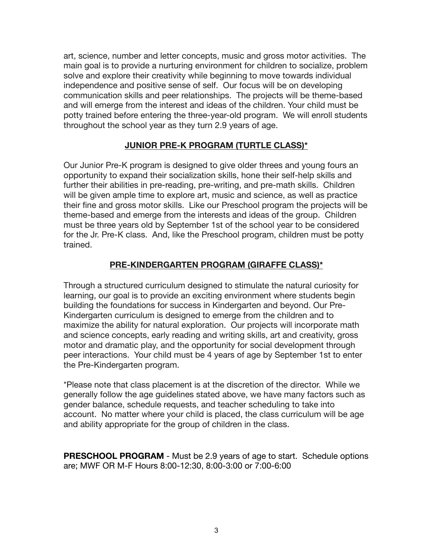art, science, number and letter concepts, music and gross motor activities. The main goal is to provide a nurturing environment for children to socialize, problem solve and explore their creativity while beginning to move towards individual independence and positive sense of self. Our focus will be on developing communication skills and peer relationships. The projects will be theme-based and will emerge from the interest and ideas of the children. Your child must be potty trained before entering the three-year-old program. We will enroll students throughout the school year as they turn 2.9 years of age.

#### **JUNIOR PRE-K PROGRAM (TURTLE CLASS)\***

Our Junior Pre-K program is designed to give older threes and young fours an opportunity to expand their socialization skills, hone their self-help skills and further their abilities in pre-reading, pre-writing, and pre-math skills. Children will be given ample time to explore art, music and science, as well as practice their fine and gross motor skills. Like our Preschool program the projects will be theme-based and emerge from the interests and ideas of the group. Children must be three years old by September 1st of the school year to be considered for the Jr. Pre-K class. And, like the Preschool program, children must be potty trained.

#### **PRE-KINDERGARTEN PROGRAM (GIRAFFE CLASS)\***

Through a structured curriculum designed to stimulate the natural curiosity for learning, our goal is to provide an exciting environment where students begin building the foundations for success in Kindergarten and beyond. Our Pre-Kindergarten curriculum is designed to emerge from the children and to maximize the ability for natural exploration. Our projects will incorporate math and science concepts, early reading and writing skills, art and creativity, gross motor and dramatic play, and the opportunity for social development through peer interactions. Your child must be 4 years of age by September 1st to enter the Pre-Kindergarten program.

\*Please note that class placement is at the discretion of the director. While we generally follow the age guidelines stated above, we have many factors such as gender balance, schedule requests, and teacher scheduling to take into account. No matter where your child is placed, the class curriculum will be age and ability appropriate for the group of children in the class.

**PRESCHOOL PROGRAM** - Must be 2.9 years of age to start. Schedule options are; MWF OR M-F Hours 8:00-12:30, 8:00-3:00 or 7:00-6:00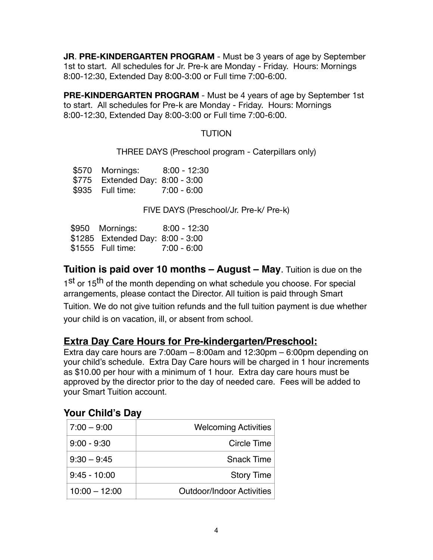**JR**. **PRE-KINDERGARTEN PROGRAM** - Must be 3 years of age by September 1st to start. All schedules for Jr. Pre-k are Monday - Friday. Hours: Mornings 8:00-12:30, Extended Day 8:00-3:00 or Full time 7:00-6:00.

**PRE-KINDERGARTEN PROGRAM** - Must be 4 years of age by September 1st to start. All schedules for Pre-k are Monday - Friday. Hours: Mornings 8:00-12:30, Extended Day 8:00-3:00 or Full time 7:00-6:00.

#### **TUTION**

THREE DAYS (Preschool program - Caterpillars only)

 \$570 Mornings: 8:00 - 12:30 \$775 Extended Day: 8:00 - 3:00 \$935 Full time: 7:00 - 6:00

FIVE DAYS (Preschool/Jr. Pre-k/ Pre-k)

 \$950 Mornings: 8:00 - 12:30 \$1285 Extended Day: 8:00 - 3:00 \$1555 Full time: 7:00 - 6:00

**Tuition is paid over 10 months – August – May**. Tuition is due on the

1st or 15<sup>th</sup> of the month depending on what schedule you choose. For special arrangements, please contact the Director. All tuition is paid through Smart Tuition. We do not give tuition refunds and the full tuition payment is due whether your child is on vacation, ill, or absent from school.

# **Extra Day Care Hours for Pre-kindergarten/Preschool:**

Extra day care hours are 7:00am – 8:00am and 12:30pm – 6:00pm depending on your child's schedule. Extra Day Care hours will be charged in 1 hour increments as \$10.00 per hour with a minimum of 1 hour. Extra day care hours must be approved by the director prior to the day of needed care. Fees will be added to your Smart Tuition account.

# **Your Child's Day**

| $7:00 - 9:00$   | <b>Welcoming Activities</b>      |
|-----------------|----------------------------------|
| $9:00 - 9:30$   | Circle Time                      |
| $9:30 - 9:45$   | <b>Snack Time</b>                |
| $9:45 - 10:00$  | <b>Story Time</b>                |
| $10:00 - 12:00$ | <b>Outdoor/Indoor Activities</b> |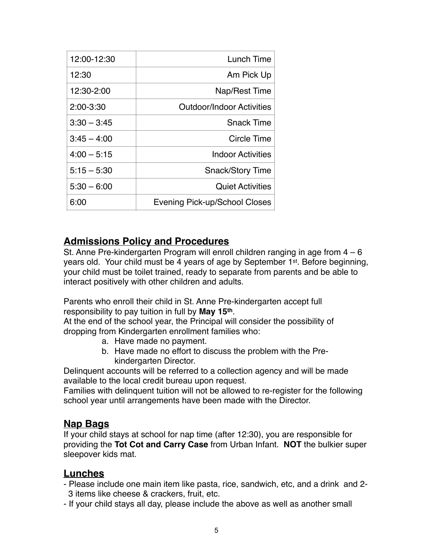| 12:00-12:30   | Lunch Time                    |  |
|---------------|-------------------------------|--|
| 12:30         | Am Pick Up                    |  |
| 12:30-2:00    | Nap/Rest Time                 |  |
| $2:00 - 3:30$ | Outdoor/Indoor Activities     |  |
| $3:30 - 3:45$ | <b>Snack Time</b>             |  |
| $3:45 - 4:00$ | Circle Time                   |  |
| $4:00 - 5:15$ | <b>Indoor Activities</b>      |  |
| $5:15 - 5:30$ | <b>Snack/Story Time</b>       |  |
| $5:30 - 6:00$ | <b>Quiet Activities</b>       |  |
| 6:00          | Evening Pick-up/School Closes |  |

### **Admissions Policy and Procedures**

St. Anne Pre-kindergarten Program will enroll children ranging in age from 4 – 6 years old. Your child must be 4 years of age by September 1st. Before beginning, your child must be toilet trained, ready to separate from parents and be able to interact positively with other children and adults.

Parents who enroll their child in St. Anne Pre-kindergarten accept full responsibility to pay tuition in full by **May 15th**.

At the end of the school year, the Principal will consider the possibility of dropping from Kindergarten enrollment families who:

- a. Have made no payment.
- b. Have made no effort to discuss the problem with the Prekindergarten Director.

Delinquent accounts will be referred to a collection agency and will be made available to the local credit bureau upon request.

Families with delinquent tuition will not be allowed to re-register for the following school year until arrangements have been made with the Director.

### **Nap Bags**

If your child stays at school for nap time (after 12:30), you are responsible for providing the **Tot Cot and Carry Case** from Urban Infant. **NOT** the bulkier super sleepover kids mat.

# **Lunches**

- Please include one main item like pasta, rice, sandwich, etc, and a drink and 2- 3 items like cheese & crackers, fruit, etc.
- If your child stays all day, please include the above as well as another small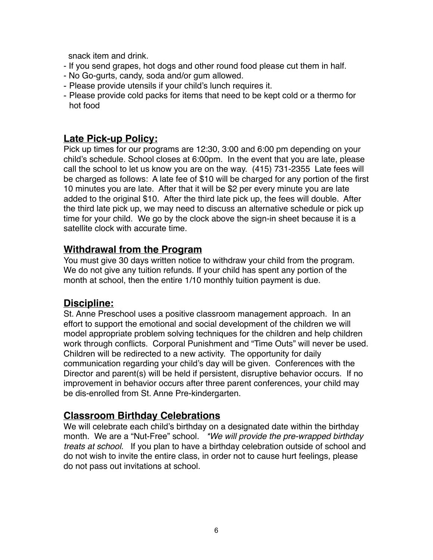snack item and drink.

- If you send grapes, hot dogs and other round food please cut them in half.
- No Go-gurts, candy, soda and/or gum allowed.
- Please provide utensils if your child's lunch requires it.
- Please provide cold packs for items that need to be kept cold or a thermo for hot food

### **Late Pick-up Policy:**

Pick up times for our programs are 12:30, 3:00 and 6:00 pm depending on your child's schedule. School closes at 6:00pm. In the event that you are late, please call the school to let us know you are on the way. (415) 731-2355 Late fees will be charged as follows: A late fee of \$10 will be charged for any portion of the first 10 minutes you are late. After that it will be \$2 per every minute you are late added to the original \$10. After the third late pick up, the fees will double. After the third late pick up, we may need to discuss an alternative schedule or pick up time for your child. We go by the clock above the sign-in sheet because it is a satellite clock with accurate time.

### **Withdrawal from the Program**

You must give 30 days written notice to withdraw your child from the program. We do not give any tuition refunds. If your child has spent any portion of the month at school, then the entire 1/10 monthly tuition payment is due.

### **Discipline:**

St. Anne Preschool uses a positive classroom management approach. In an effort to support the emotional and social development of the children we will model appropriate problem solving techniques for the children and help children work through conflicts. Corporal Punishment and "Time Outs" will never be used. Children will be redirected to a new activity. The opportunity for daily communication regarding your child's day will be given. Conferences with the Director and parent(s) will be held if persistent, disruptive behavior occurs. If no improvement in behavior occurs after three parent conferences, your child may be dis-enrolled from St. Anne Pre-kindergarten.

# **Classroom Birthday Celebrations**

We will celebrate each child's birthday on a designated date within the birthday month. We are a "Nut-Free" school. *\*We will provide the pre-wrapped birthday treats at school.* If you plan to have a birthday celebration outside of school and do not wish to invite the entire class, in order not to cause hurt feelings, please do not pass out invitations at school.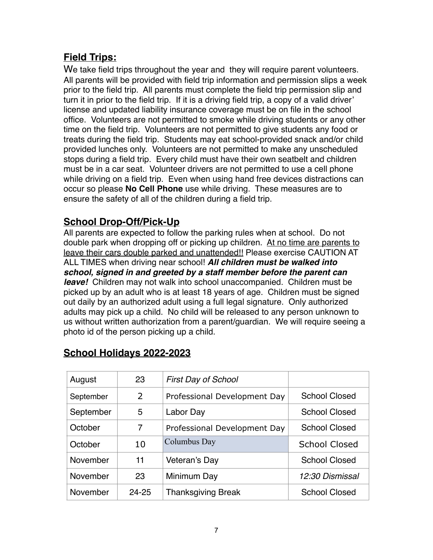# **Field Trips:**

We take field trips throughout the year and they will require parent volunteers. All parents will be provided with field trip information and permission slips a week prior to the field trip. All parents must complete the field trip permission slip and turn it in prior to the field trip. If it is a driving field trip, a copy of a valid driver' license and updated liability insurance coverage must be on file in the school office. Volunteers are not permitted to smoke while driving students or any other time on the field trip. Volunteers are not permitted to give students any food or treats during the field trip. Students may eat school-provided snack and/or child provided lunches only. Volunteers are not permitted to make any unscheduled stops during a field trip. Every child must have their own seatbelt and children must be in a car seat. Volunteer drivers are not permitted to use a cell phone while driving on a field trip. Even when using hand free devices distractions can occur so please **No Cell Phone** use while driving. These measures are to ensure the safety of all of the children during a field trip.

# **School Drop-Off/Pick-Up**

All parents are expected to follow the parking rules when at school. Do not double park when dropping off or picking up children. At no time are parents to leave their cars double parked and unattended!! Please exercise CAUTION AT ALL TIMES when driving near school! *All children must be walked into school, signed in and greeted by a staff member before the parent can leave!* Children may not walk into school unaccompanied. Children must be picked up by an adult who is at least 18 years of age. Children must be signed out daily by an authorized adult using a full legal signature. Only authorized adults may pick up a child. No child will be released to any person unknown to us without written authorization from a parent/guardian. We will require seeing a photo id of the person picking up a child.

| August    | 23    | <b>First Day of School</b>   |                      |
|-----------|-------|------------------------------|----------------------|
| September | 2     | Professional Development Day | <b>School Closed</b> |
| September | 5     | Labor Day                    | School Closed        |
| October   | 7     | Professional Development Day | <b>School Closed</b> |
| October   | 10    | Columbus Day                 | <b>School Closed</b> |
| November  | 11    | Veteran's Day                | <b>School Closed</b> |
| November  | 23    | Minimum Day                  | 12:30 Dismissal      |
| November  | 24-25 | <b>Thanksgiving Break</b>    | School Closed        |

# **School Holidays 2022-2023**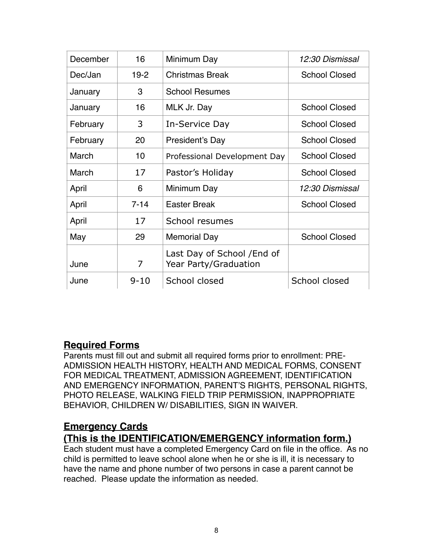| December | 16       | Minimum Day                                          | 12:30 Dismissal      |
|----------|----------|------------------------------------------------------|----------------------|
| Dec/Jan  | $19-2$   | Christmas Break                                      | <b>School Closed</b> |
| January  | 3        | <b>School Resumes</b>                                |                      |
| January  | 16       | MLK Jr. Day                                          | <b>School Closed</b> |
| February | 3        | In-Service Day                                       | <b>School Closed</b> |
| February | 20       | President's Day                                      | <b>School Closed</b> |
| March    | 10       | Professional Development Day                         | <b>School Closed</b> |
| March    | 17       | Pastor's Holiday                                     | <b>School Closed</b> |
| April    | 6        | Minimum Day                                          | 12:30 Dismissal      |
| April    | $7 - 14$ | <b>Easter Break</b>                                  | <b>School Closed</b> |
| April    | 17       | School resumes                                       |                      |
| May      | 29       | <b>Memorial Day</b>                                  | <b>School Closed</b> |
| June     | 7        | Last Day of School / End of<br>Year Party/Graduation |                      |
| June     | $9 - 10$ | School closed                                        | School closed        |

# **Required Forms**

Parents must fill out and submit all required forms prior to enrollment: PRE-ADMISSION HEALTH HISTORY, HEALTH AND MEDICAL FORMS, CONSENT FOR MEDICAL TREATMENT, ADMISSION AGREEMENT, IDENTIFICATION AND EMERGENCY INFORMATION, PARENT'S RIGHTS, PERSONAL RIGHTS, PHOTO RELEASE, WALKING FIELD TRIP PERMISSION, INAPPROPRIATE BEHAVIOR, CHILDREN W/ DISABILITIES, SIGN IN WAIVER.

# **Emergency Cards**

# **(This is the IDENTIFICATION/EMERGENCY information form.)**

Each student must have a completed Emergency Card on file in the office. As no child is permitted to leave school alone when he or she is ill, it is necessary to have the name and phone number of two persons in case a parent cannot be reached. Please update the information as needed.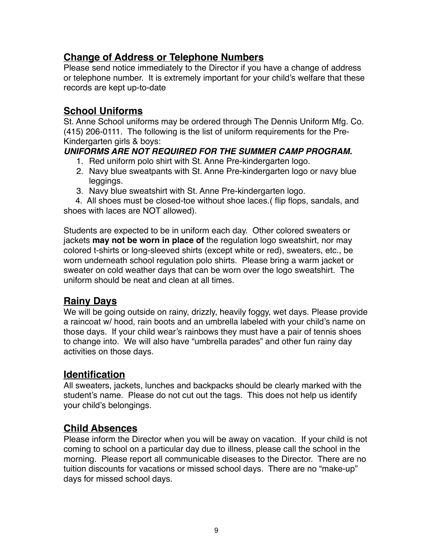# **Change of Address or Telephone Numbers**

Please send notice immediately to the Director if you have a change of address or telephone number. It is extremely important for your child's welfare that these records are kept up-to-date

# **School Uniforms**

St. Anne School uniforms may be ordered through The Dennis Uniform Mfg. Co. (415) 206-0111. The following is the list of uniform requirements for the Pre-Kindergarten girls & boys:

#### *UNIFORMS ARE NOT REQUIRED FOR THE SUMMER CAMP PROGRAM.*

- 1. Red uniform polo shirt with St. Anne Pre-kindergarten logo.
- 2. Navy blue sweatpants with St. Anne Pre-kindergarten logo or navy blue leggings.
- 3. Navy blue sweatshirt with St. Anne Pre-kindergarten logo.

 4. All shoes must be closed-toe without shoe laces.( flip flops, sandals, and shoes with laces are NOT allowed).

Students are expected to be in uniform each day. Other colored sweaters or jackets **may not be worn in place of** the regulation logo sweatshirt, nor may colored t-shirts or long-sleeved shirts (except white or red), sweaters, etc., be worn underneath school regulation polo shirts. Please bring a warm jacket or sweater on cold weather days that can be worn over the logo sweatshirt. The uniform should be neat and clean at all times.

# **Rainy Days**

We will be going outside on rainy, drizzly, heavily foggy, wet days. Please provide a raincoat w/ hood, rain boots and an umbrella labeled with your child's name on those days. If your child wear's rainbows they must have a pair of tennis shoes to change into. We will also have "umbrella parades" and other fun rainy day activities on those days.

### **Identification**

All sweaters, jackets, lunches and backpacks should be clearly marked with the student's name. Please do not cut out the tags. This does not help us identify your child's belongings.

# **Child Absences**

Please inform the Director when you will be away on vacation. If your child is not coming to school on a particular day due to illness, please call the school in the morning. Please report all communicable diseases to the Director. There are no tuition discounts for vacations or missed school days. There are no "make-up" days for missed school days.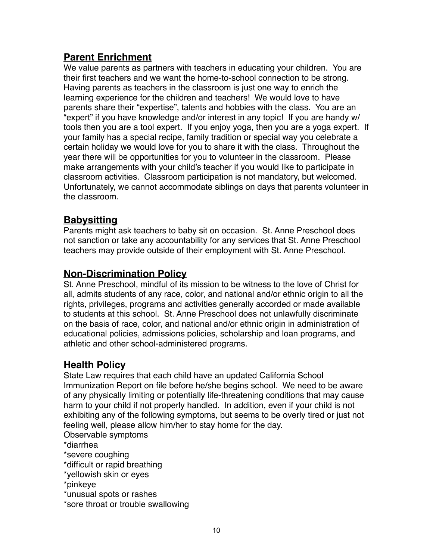# **Parent Enrichment**

We value parents as partners with teachers in educating your children. You are their first teachers and we want the home-to-school connection to be strong. Having parents as teachers in the classroom is just one way to enrich the learning experience for the children and teachers! We would love to have parents share their "expertise", talents and hobbies with the class. You are an "expert" if you have knowledge and/or interest in any topic! If you are handy w/ tools then you are a tool expert. If you enjoy yoga, then you are a yoga expert. If your family has a special recipe, family tradition or special way you celebrate a certain holiday we would love for you to share it with the class. Throughout the year there will be opportunities for you to volunteer in the classroom. Please make arrangements with your child's teacher if you would like to participate in classroom activities. Classroom participation is not mandatory, but welcomed. Unfortunately, we cannot accommodate siblings on days that parents volunteer in the classroom.

# **Babysitting**

Parents might ask teachers to baby sit on occasion. St. Anne Preschool does not sanction or take any accountability for any services that St. Anne Preschool teachers may provide outside of their employment with St. Anne Preschool.

# **Non-Discrimination Policy**

St. Anne Preschool, mindful of its mission to be witness to the love of Christ for all, admits students of any race, color, and national and/or ethnic origin to all the rights, privileges, programs and activities generally accorded or made available to students at this school. St. Anne Preschool does not unlawfully discriminate on the basis of race, color, and national and/or ethnic origin in administration of educational policies, admissions policies, scholarship and loan programs, and athletic and other school-administered programs.

# **Health Policy**

State Law requires that each child have an updated California School Immunization Report on file before he/she begins school. We need to be aware of any physically limiting or potentially life-threatening conditions that may cause harm to your child if not properly handled. In addition, even if your child is not exhibiting any of the following symptoms, but seems to be overly tired or just not feeling well, please allow him/her to stay home for the day.

Observable symptoms

\*diarrhea

\*severe coughing

\*difficult or rapid breathing

\*yellowish skin or eyes

\*pinkeye

\*unusual spots or rashes

\*sore throat or trouble swallowing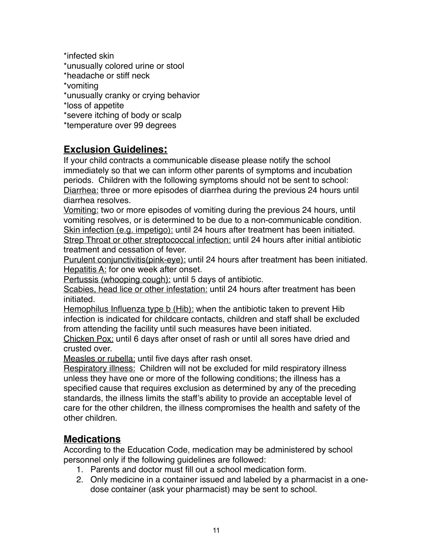\*infected skin \*unusually colored urine or stool \*headache or stiff neck \*vomiting \*unusually cranky or crying behavior \*loss of appetite \*severe itching of body or scalp \*temperature over 99 degrees

# **Exclusion Guidelines:**

If your child contracts a communicable disease please notify the school immediately so that we can inform other parents of symptoms and incubation periods. Children with the following symptoms should not be sent to school: Diarrhea: three or more episodes of diarrhea during the previous 24 hours until diarrhea resolves.

Vomiting: two or more episodes of vomiting during the previous 24 hours, until vomiting resolves, or is determined to be due to a non-communicable condition. Skin infection (e.g. impetigo): until 24 hours after treatment has been initiated. Strep Throat or other streptococcal infection: until 24 hours after initial antibiotic treatment and cessation of fever.

Purulent conjunctivitis(pink-eye): until 24 hours after treatment has been initiated. Hepatitis A: for one week after onset.

Pertussis (whooping cough): until 5 days of antibiotic.

Scabies, head lice or other infestation: until 24 hours after treatment has been initiated.

Hemophilus Influenza type b (Hib): when the antibiotic taken to prevent Hib infection is indicated for childcare contacts, children and staff shall be excluded from attending the facility until such measures have been initiated.

Chicken Pox: until 6 days after onset of rash or until all sores have dried and crusted over.

Measles or rubella: until five days after rash onset.

Respiratory illness: Children will not be excluded for mild respiratory illness unless they have one or more of the following conditions; the illness has a specified cause that requires exclusion as determined by any of the preceding standards, the illness limits the staff's ability to provide an acceptable level of care for the other children, the illness compromises the health and safety of the other children.

# **Medications**

According to the Education Code, medication may be administered by school personnel only if the following guidelines are followed:

- 1. Parents and doctor must fill out a school medication form.
- 2. Only medicine in a container issued and labeled by a pharmacist in a onedose container (ask your pharmacist) may be sent to school.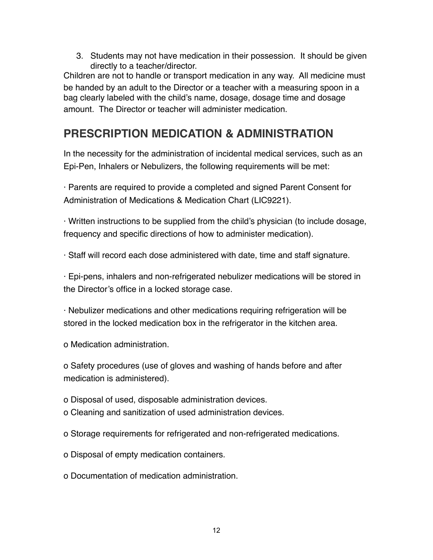3. Students may not have medication in their possession. It should be given directly to a teacher/director.

Children are not to handle or transport medication in any way. All medicine must be handed by an adult to the Director or a teacher with a measuring spoon in a bag clearly labeled with the child's name, dosage, dosage time and dosage amount. The Director or teacher will administer medication.

# **PRESCRIPTION MEDICATION & ADMINISTRATION**

In the necessity for the administration of incidental medical services, such as an Epi-Pen, Inhalers or Nebulizers, the following requirements will be met:

· Parents are required to provide a completed and signed Parent Consent for Administration of Medications & Medication Chart (LIC9221).

· Written instructions to be supplied from the child's physician (to include dosage, frequency and specific directions of how to administer medication).

· Staff will record each dose administered with date, time and staff signature.

· Epi-pens, inhalers and non-refrigerated nebulizer medications will be stored in the Director's office in a locked storage case.

· Nebulizer medications and other medications requiring refrigeration will be stored in the locked medication box in the refrigerator in the kitchen area.

o Medication administration.

o Safety procedures (use of gloves and washing of hands before and after medication is administered).

o Disposal of used, disposable administration devices.

o Cleaning and sanitization of used administration devices.

o Storage requirements for refrigerated and non-refrigerated medications.

o Disposal of empty medication containers.

o Documentation of medication administration.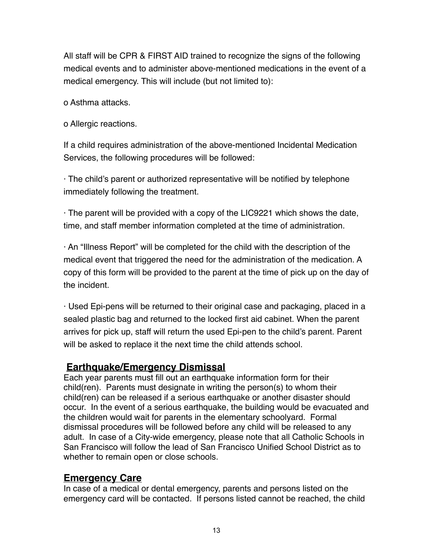All staff will be CPR & FIRST AID trained to recognize the signs of the following medical events and to administer above-mentioned medications in the event of a medical emergency. This will include (but not limited to):

o Asthma attacks.

o Allergic reactions.

If a child requires administration of the above-mentioned Incidental Medication Services, the following procedures will be followed:

· The child's parent or authorized representative will be notified by telephone immediately following the treatment.

· The parent will be provided with a copy of the LIC9221 which shows the date, time, and staff member information completed at the time of administration.

· An "Illness Report" will be completed for the child with the description of the medical event that triggered the need for the administration of the medication. A copy of this form will be provided to the parent at the time of pick up on the day of the incident.

· Used Epi-pens will be returned to their original case and packaging, placed in a sealed plastic bag and returned to the locked first aid cabinet. When the parent arrives for pick up, staff will return the used Epi-pen to the child's parent. Parent will be asked to replace it the next time the child attends school.

# **Earthquake/Emergency Dismissal**

Each year parents must fill out an earthquake information form for their child(ren). Parents must designate in writing the person(s) to whom their child(ren) can be released if a serious earthquake or another disaster should occur. In the event of a serious earthquake, the building would be evacuated and the children would wait for parents in the elementary schoolyard. Formal dismissal procedures will be followed before any child will be released to any adult. In case of a City-wide emergency, please note that all Catholic Schools in San Francisco will follow the lead of San Francisco Unified School District as to whether to remain open or close schools.

# **Emergency Care**

In case of a medical or dental emergency, parents and persons listed on the emergency card will be contacted. If persons listed cannot be reached, the child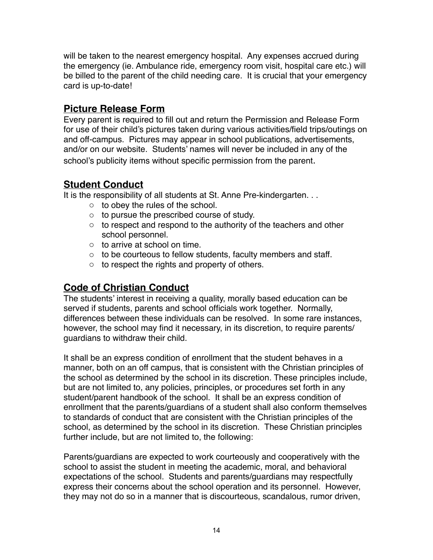will be taken to the nearest emergency hospital. Any expenses accrued during the emergency (ie. Ambulance ride, emergency room visit, hospital care etc.) will be billed to the parent of the child needing care. It is crucial that your emergency card is up-to-date!

### **Picture Release Form**

Every parent is required to fill out and return the Permission and Release Form for use of their child's pictures taken during various activities/field trips/outings on and off-campus. Pictures may appear in school publications, advertisements, and/or on our website. Students' names will never be included in any of the school's publicity items without specific permission from the parent.

# **Student Conduct**

It is the responsibility of all students at St. Anne Pre-kindergarten. . .

- o to obey the rules of the school.
- o to pursue the prescribed course of study.
- $\circ$  to respect and respond to the authority of the teachers and other school personnel.
- o to arrive at school on time.
- o to be courteous to fellow students, faculty members and staff.
- o to respect the rights and property of others.

# **Code of Christian Conduct**

The students' interest in receiving a quality, morally based education can be served if students, parents and school officials work together. Normally, differences between these individuals can be resolved. In some rare instances, however, the school may find it necessary, in its discretion, to require parents/ guardians to withdraw their child.

It shall be an express condition of enrollment that the student behaves in a manner, both on an off campus, that is consistent with the Christian principles of the school as determined by the school in its discretion. These principles include, but are not limited to, any policies, principles, or procedures set forth in any student/parent handbook of the school. It shall be an express condition of enrollment that the parents/guardians of a student shall also conform themselves to standards of conduct that are consistent with the Christian principles of the school, as determined by the school in its discretion. These Christian principles further include, but are not limited to, the following:

Parents/guardians are expected to work courteously and cooperatively with the school to assist the student in meeting the academic, moral, and behavioral expectations of the school. Students and parents/guardians may respectfully express their concerns about the school operation and its personnel. However, they may not do so in a manner that is discourteous, scandalous, rumor driven,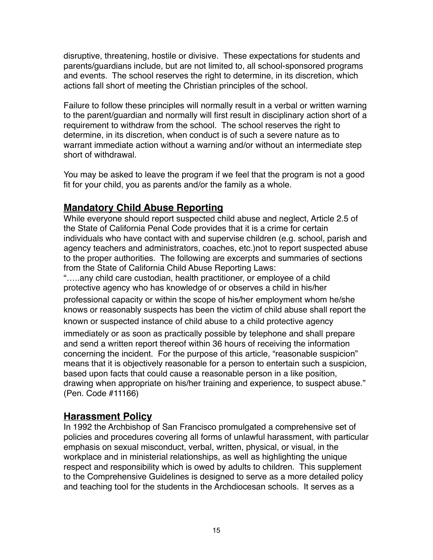disruptive, threatening, hostile or divisive. These expectations for students and parents/guardians include, but are not limited to, all school-sponsored programs and events. The school reserves the right to determine, in its discretion, which actions fall short of meeting the Christian principles of the school.

Failure to follow these principles will normally result in a verbal or written warning to the parent/guardian and normally will first result in disciplinary action short of a requirement to withdraw from the school. The school reserves the right to determine, in its discretion, when conduct is of such a severe nature as to warrant immediate action without a warning and/or without an intermediate step short of withdrawal.

You may be asked to leave the program if we feel that the program is not a good fit for your child, you as parents and/or the family as a whole.

# **Mandatory Child Abuse Reporting**

While everyone should report suspected child abuse and neglect, Article 2.5 of the State of California Penal Code provides that it is a crime for certain individuals who have contact with and supervise children (e.g. school, parish and agency teachers and administrators, coaches, etc.)not to report suspected abuse to the proper authorities. The following are excerpts and summaries of sections from the State of California Child Abuse Reporting Laws:

"…..any child care custodian, health practitioner, or employee of a child protective agency who has knowledge of or observes a child in his/her professional capacity or within the scope of his/her employment whom he/she knows or reasonably suspects has been the victim of child abuse shall report the known or suspected instance of child abuse to a child protective agency immediately or as soon as practically possible by telephone and shall prepare and send a written report thereof within 36 hours of receiving the information concerning the incident. For the purpose of this article, "reasonable suspicion" means that it is objectively reasonable for a person to entertain such a suspicion, based upon facts that could cause a reasonable person in a like position, drawing when appropriate on his/her training and experience, to suspect abuse." (Pen. Code #11166)

# **Harassment Policy**

In 1992 the Archbishop of San Francisco promulgated a comprehensive set of policies and procedures covering all forms of unlawful harassment, with particular emphasis on sexual misconduct, verbal, written, physical, or visual, in the workplace and in ministerial relationships, as well as highlighting the unique respect and responsibility which is owed by adults to children. This supplement to the Comprehensive Guidelines is designed to serve as a more detailed policy and teaching tool for the students in the Archdiocesan schools. It serves as a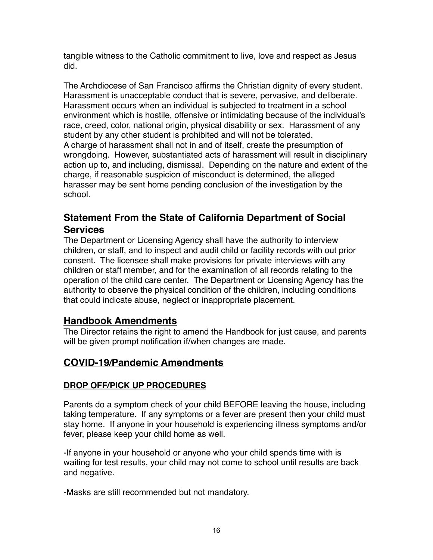tangible witness to the Catholic commitment to live, love and respect as Jesus did.

The Archdiocese of San Francisco affirms the Christian dignity of every student. Harassment is unacceptable conduct that is severe, pervasive, and deliberate. Harassment occurs when an individual is subjected to treatment in a school environment which is hostile, offensive or intimidating because of the individual's race, creed, color, national origin, physical disability or sex. Harassment of any student by any other student is prohibited and will not be tolerated. A charge of harassment shall not in and of itself, create the presumption of wrongdoing. However, substantiated acts of harassment will result in disciplinary action up to, and including, dismissal. Depending on the nature and extent of the charge, if reasonable suspicion of misconduct is determined, the alleged harasser may be sent home pending conclusion of the investigation by the school.

# **Statement From the State of California Department of Social Services**

The Department or Licensing Agency shall have the authority to interview children, or staff, and to inspect and audit child or facility records with out prior consent. The licensee shall make provisions for private interviews with any children or staff member, and for the examination of all records relating to the operation of the child care center. The Department or Licensing Agency has the authority to observe the physical condition of the children, including conditions that could indicate abuse, neglect or inappropriate placement.

# **Handbook Amendments**

The Director retains the right to amend the Handbook for just cause, and parents will be given prompt notification if/when changes are made.

# **COVID-19/Pandemic Amendments**

### **DROP OFF/PICK UP PROCEDURES**

Parents do a symptom check of your child BEFORE leaving the house, including taking temperature. If any symptoms or a fever are present then your child must stay home. If anyone in your household is experiencing illness symptoms and/or fever, please keep your child home as well.

-If anyone in your household or anyone who your child spends time with is waiting for test results, your child may not come to school until results are back and negative.

-Masks are still recommended but not mandatory.